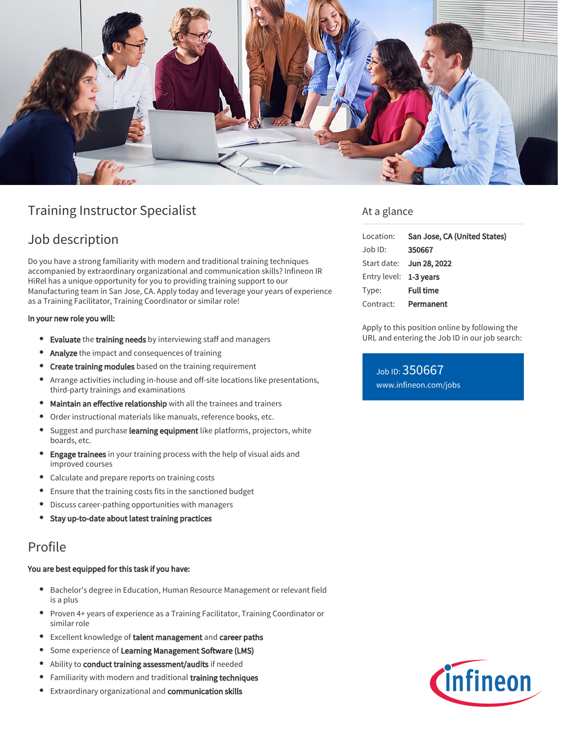

# Training Instructor Specialist

# Job description

Do you have a strong familiarity with modern and traditional training techniques accompanied by extraordinary organizational and communication skills? Infineon IR HiRel has a unique opportunity for you to providing training support to our Manufacturing team in San Jose, CA. Apply today and leverage your years of experience as a Training Facilitator, Training Coordinator or similar role!

#### In your new role you will:

- **Evaluate** the training needs by interviewing staff and managers
- Analyze the impact and consequences of training
- **Create training modules** based on the training requirement
- Arrange activities including in-house and off-site locations like presentations, third-party trainings and examinations
- Maintain an effective relationship with all the trainees and trainers
- Order instructional materials like manuals, reference books, etc. ۰
- Suggest and purchase learning equipment like platforms, projectors, white  $\bullet$ boards, etc.
- **Engage trainees** in your training process with the help of visual aids and improved courses
- Calculate and prepare reports on training costs
- Ensure that the training costs fits in the sanctioned budget
- Discuss career-pathing opportunities with managers
- Stay up-to-date about latest training practices

### Profile

#### You are best equipped for this task if you have:

- Bachelor's degree in Education, Human Resource Management or relevant field is a plus
- Proven 4+ years of experience as a Training Facilitator, Training Coordinator or similar role
- **•** Excellent knowledge of talent management and career paths
- **•** Some experience of Learning Management Software (LMS)
- Ability to conduct training assessment/audits if needed
- Familiarity with modern and traditional training techniques
- **Extraordinary organizational and communication skills**

### At a glance

| Location:              | San Jose, CA (United States)    |
|------------------------|---------------------------------|
| Job ID:                | 350667                          |
|                        | Start date: <b>Jun 28, 2022</b> |
| Entry level: 1-3 years |                                 |
| Type:                  | <b>Full time</b>                |
|                        | Contract: Permanent             |
|                        |                                 |

Apply to this position online by following the URL and entering the Job ID in our job search:

Job ID: 350667 [www.infineon.com/jobs](https://www.infineon.com/jobs)

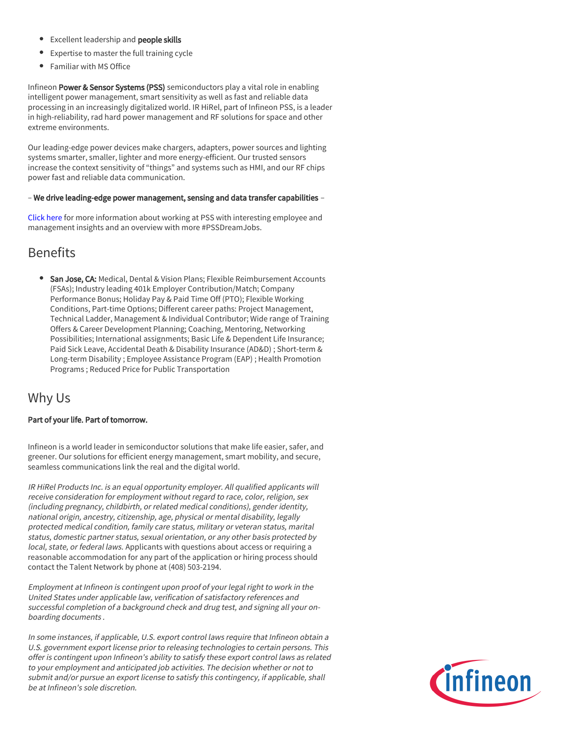- **Excellent leadership and people skills**
- Expertise to master the full training cycle
- Familiar with MS Office

Infineon Power & Sensor Systems (PSS) semiconductors play a vital role in enabling intelligent power management, smart sensitivity as well as fast and reliable data processing in an increasingly digitalized world. IR HiRel, part of Infineon PSS, is a leader in high-reliability, rad hard power management and RF solutions for space and other extreme environments.

Our leading-edge power devices make chargers, adapters, power sources and lighting systems smarter, smaller, lighter and more energy-efficient. Our trusted sensors increase the context sensitivity of "things" and systems such as HMI, and our RF chips power fast and reliable data communication.

#### – We drive leading-edge power management, sensing and data transfer capabilities –

[Click here](https://www.infineon.com/cms/en/careers/working-at-infineon/PSSDreamJob/) for more information about working at PSS with interesting employee and management insights and an overview with more #PSSDreamJobs.

# **Benefits**

**San Jose, CA:** Medical, Dental & Vision Plans; Flexible Reimbursement Accounts (FSAs); Industry leading 401k Employer Contribution/Match; Company Performance Bonus; Holiday Pay & Paid Time Off (PTO); Flexible Working Conditions, Part-time Options; Different career paths: Project Management, Technical Ladder, Management & Individual Contributor; Wide range of Training Offers & Career Development Planning; Coaching, Mentoring, Networking Possibilities; International assignments; Basic Life & Dependent Life Insurance; Paid Sick Leave, Accidental Death & Disability Insurance (AD&D) ; Short-term & Long-term Disability ; Employee Assistance Program (EAP) ; Health Promotion Programs ; Reduced Price for Public Transportation

### Why Us

#### Part of your life. Part of tomorrow.

Infineon is a world leader in semiconductor solutions that make life easier, safer, and greener. Our solutions for efficient energy management, smart mobility, and secure, seamless communications link the real and the digital world.

IR HiRel Products Inc. is an equal opportunity employer. All qualified applicants will receive consideration for employment without regard to race, color, religion, sex (including pregnancy, childbirth, or related medical conditions), gender identity, national origin, ancestry, citizenship, age, physical or mental disability, legally protected medical condition, family care status, military or veteran status, marital status, domestic partner status, sexual orientation, or any other basis protected by local, state, or federal laws. Applicants with questions about access or requiring a reasonable accommodation for any part of the application or hiring process should contact the Talent Network by phone at (408) 503-2194.

Employment at Infineon is contingent upon proof of your legal right to work in the United States under applicable law, verification of satisfactory references and successful completion of a background check and drug test, and signing all your onboarding documents .

In some instances, if applicable, U.S. export control laws require that Infineon obtain a U.S. government export license prior to releasing technologies to certain persons. This offer is contingent upon Infineon's ability to satisfy these export control laws as related to your employment and anticipated job activities. The decision whether or not to submit and/or pursue an export license to satisfy this contingency, if applicable, shall be at Infineon's sole discretion.